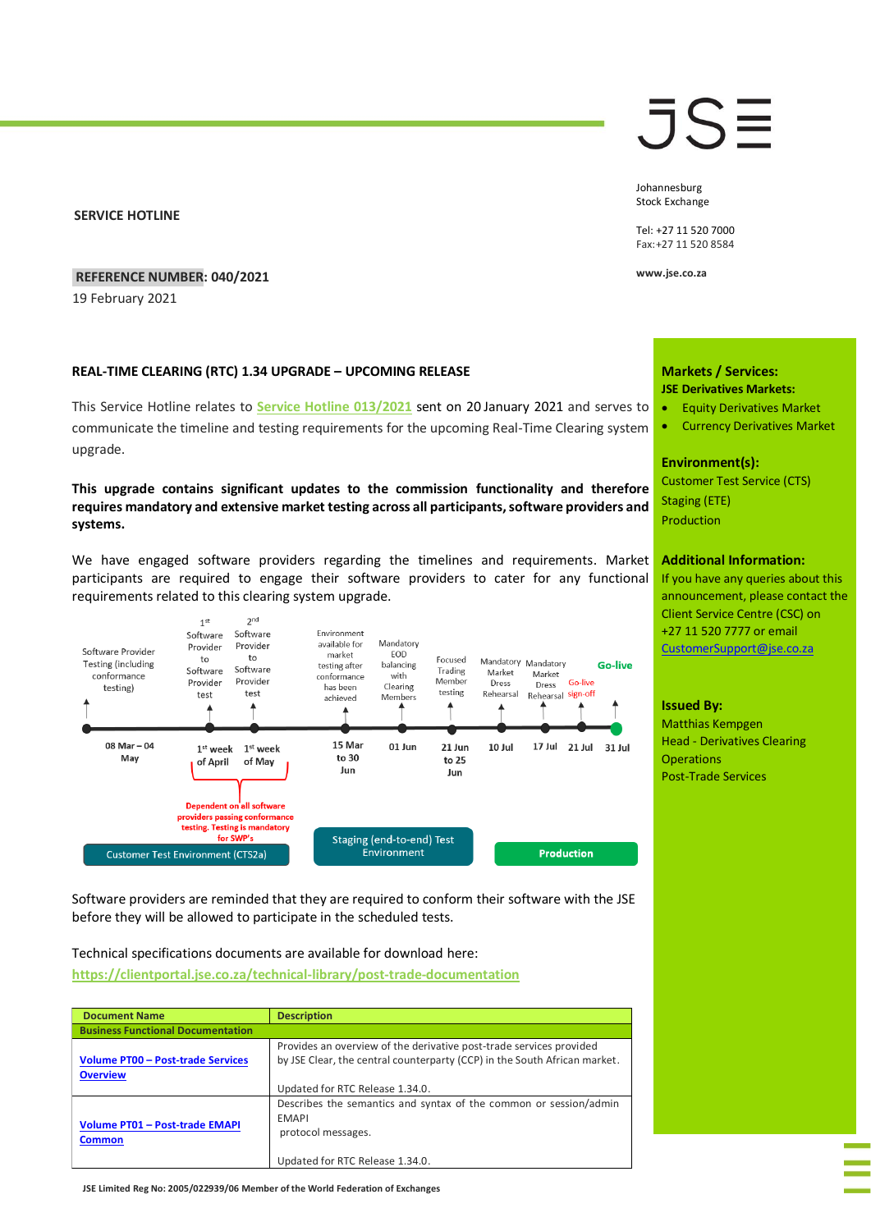### **SERVICE HOTLINE**

## **REFERENCE NUMBER: 040/2021**

19 February 2021

## **REAL-TIME CLEARING (RTC) 1.34 UPGRADE – UPCOMING RELEASE**

This Service Hotline relates to **[Service Hotline 013/2021](https://clientportal.jse.co.za/Content/JSEHotlinesItems/JSE%20Service%20Hotline%2001321%20EDM%20and%20FXM%20-%20Reminder%20-%20Real%20Time%20Clearing%20(RTC)%201.34.0%20CTS%20and%20API%20Documentation%20Release.pdf)** sent on 20 January 2021 and serves to communicate the timeline and testing requirements for the upcoming Real-Time Clearing system upgrade.

# **This upgrade contains significant updates to the commission functionality and therefore requires mandatory and extensive market testing across all participants, software providers and systems.**

We have engaged software providers regarding the timelines and requirements. Market participants are required to engage their software providers to cater for any functional requirements related to this clearing system upgrade.



Software providers are reminded that they are required to conform their software with the JSE before they will be allowed to participate in the scheduled tests.

Technical specifications documents are available for download here:

**<https://clientportal.jse.co.za/technical-library/post-trade-documentation>**

| <b>Document Name</b>                                        | <b>Description</b>                                                                                                                                                                  |
|-------------------------------------------------------------|-------------------------------------------------------------------------------------------------------------------------------------------------------------------------------------|
| <b>Business Functional Documentation</b>                    |                                                                                                                                                                                     |
| <b>Volume PT00 - Post-trade Services</b><br><b>Overview</b> | Provides an overview of the derivative post-trade services provided<br>by JSE Clear, the central counterparty (CCP) in the South African market.<br>Updated for RTC Release 1.34.0. |
| Volume PT01 - Post-trade EMAPI<br><b>Common</b>             | Describes the semantics and syntax of the common or session/admin<br><b>FMAPI</b><br>protocol messages.<br>Updated for RTC Release 1.34.0.                                          |

# JSE

Johannesburg Stock Exchange

Tel: +27 11 520 7000 Fax:+27 11 520 8584

**www.jse.co.za**

### **Markets / Services: JSE Derivatives Markets:**

- **•** Equity Derivatives Market
- **•** Currency Derivatives Market

**Environment(s):** Customer Test Service (CTS) Staging (ETE) Production

#### **Additional Information:**

If you have any queries about this announcement, please contact the Client Service Centre (CSC) on +27 11 520 7777 or email [CustomerSupport@jse.co.za](mailto:CustomerSupport@jse.co.za)

### **Issued By:**

Matthias Kempgen Head - Derivatives Clearing **Operations** Post-Trade Services

**JSE Limited Reg No: 2005/022939/06 Member of the World Federation of Exchanges**